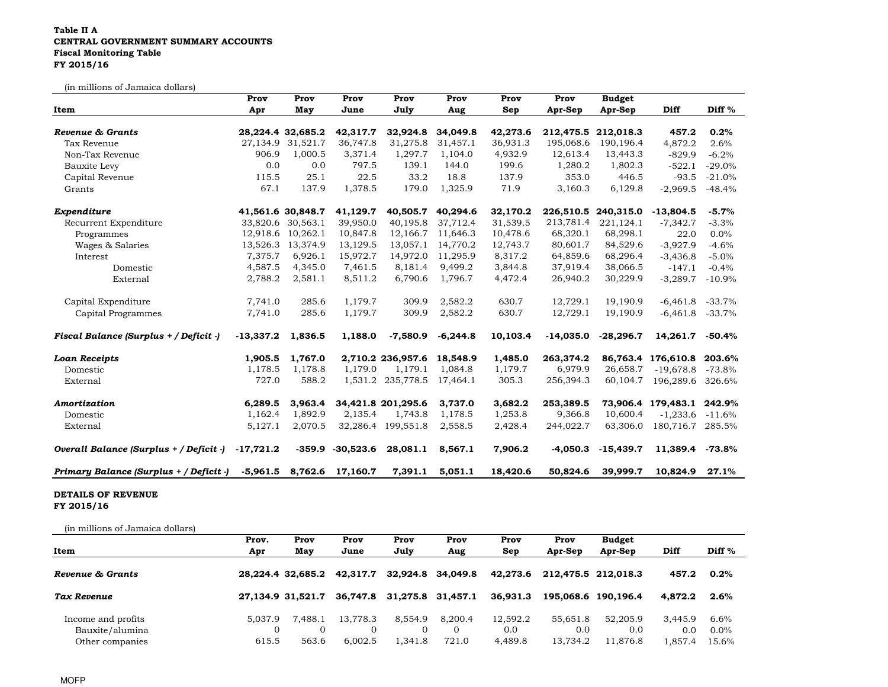## Table II A CENTRAL GOVERNMENT SUMMARY ACCOUNTS Fiscal Monitoring TableFY 2015/16

(in millions of Jamaica dollars)

| ui illillions of Janiarca dollars)      | Prov        | Prov                  | Prov                | Prov               | Prov       | Prov     | Prov        | <b>Budget</b> |                           |           |
|-----------------------------------------|-------------|-----------------------|---------------------|--------------------|------------|----------|-------------|---------------|---------------------------|-----------|
| Item                                    | Apr         | May                   | June                | July               | Aug        | Sep      | Apr-Sep     | Apr-Sep       | Diff                      | Diff %    |
| Revenue & Grants                        |             | 28, 224. 4 32, 685. 2 | 42,317.7            | 32,924.8           | 34,049.8   | 42,273.6 | 212,475.5   | 212,018.3     | 457.2                     | 0.2%      |
| Tax Revenue                             |             | 27,134.9 31,521.7     | 36,747.8            | 31,275.8           | 31,457.1   | 36,931.3 | 195,068.6   | 190,196.4     | 4,872.2                   | 2.6%      |
| Non-Tax Revenue                         | 906.9       | 1,000.5               | 3,371.4             | 1,297.7            | 1,104.0    | 4,932.9  | 12,613.4    | 13,443.3      | $-829.9$                  | $-6.2%$   |
| Bauxite Levy                            | 0.0         | 0.0                   | 797.5               | 139.1              | 144.0      | 199.6    | 1,280.2     | 1,802.3       | $-522.1$                  | $-29.0%$  |
| Capital Revenue                         | 115.5       | 25.1                  | 22.5                | 33.2               | 18.8       | 137.9    | 353.0       | 446.5         | $-93.5$                   | $-21.0%$  |
| Grants                                  | 67.1        | 137.9                 | 1,378.5             | 179.0              | 1,325.9    | 71.9     | 3,160.3     | 6,129.8       | $-2,969.5$                | $-48.4%$  |
| Expenditure                             |             | 41,561.6 30,848.7     | 41,129.7            | 40,505.7           | 40,294.6   | 32,170.2 | 226,510.5   | 240,315.0     | $-13,804.5$               | $-5.7%$   |
| Recurrent Expenditure                   |             | 33,820.6 30,563.1     | 39,950.0            | 40,195.8           | 37,712.4   | 31,539.5 | 213,781.4   | 221,124.1     | $-7,342.7$                | $-3.3%$   |
| Programmes                              |             | 12,918.6 10,262.1     | 10,847.8            | 12,166.7           | 11,646.3   | 10,478.6 | 68,320.1    | 68,298.1      | 22.0                      | 0.0%      |
| Wages & Salaries                        |             | 13,526.3 13,374.9     | 13,129.5            | 13,057.1           | 14,770.2   | 12,743.7 | 80,601.7    | 84,529.6      | $-3,927.9$                | $-4.6%$   |
| Interest                                | 7,375.7     | 6,926.1               | 15,972.7            | 14,972.0           | 11,295.9   | 8,317.2  | 64,859.6    | 68,296.4      | $-3,436.8$                | $-5.0%$   |
| Domestic                                | 4,587.5     | 4,345.0               | 7,461.5             | 8,181.4            | 9.499.2    | 3,844.8  | 37,919.4    | 38,066.5      | $-147.1$                  | $-0.4\%$  |
| External                                | 2,788.2     | 2,581.1               | 8,511.2             | 6,790.6            | 1,796.7    | 4,472.4  | 26,940.2    | 30,229.9      | $-3,289.7$                | $-10.9%$  |
| Capital Expenditure                     | 7,741.0     | 285.6                 | 1,179.7             | 309.9              | 2,582.2    | 630.7    | 12,729.1    | 19,190.9      | $-6,461.8$                | $-33.7%$  |
| Capital Programmes                      | 7,741.0     | 285.6                 | 1,179.7             | 309.9              | 2,582.2    | 630.7    | 12,729.1    | 19,190.9      | $-6,461.8$                | $-33.7%$  |
| Fiscal Balance (Surplus + / Deficit -)  | $-13,337.2$ | 1,836.5               | 1,188.0             | $-7,580.9$         | $-6,244.8$ | 10,103.4 | $-14,035.0$ | $-28,296.7$   | 14,261.7                  | $-50.4%$  |
| <b>Loan Receipts</b>                    | 1,905.5     | 1,767.0               |                     | 2,710.2 236,957.6  | 18,548.9   | 1,485.0  | 263,374.2   |               | 86,763.4 176,610.8        | 203.6%    |
| Domestic                                | 1,178.5     | 1,178.8               | 1,179.0             | 1.179.1            | 1,084.8    | 1,179.7  | 6,979.9     | 26,658.7      | $-19,678.8$               | -73.8%    |
| External                                | 727.0       | 588.2                 |                     | 1,531.2 235,778.5  | 17,464.1   | 305.3    | 256,394.3   | 60,104.7      | 196,289.6                 | 326.6%    |
| Amortization                            | 6,289.5     | 3,963.4               |                     | 34,421.8 201,295.6 | 3,737.0    | 3,682.2  | 253,389.5   |               | 73,906.4 179,483.1 242.9% |           |
| Domestic                                | 1,162.4     | 1,892.9               | 2,135.4             | 1,743.8            | 1,178.5    | 1,253.8  | 9,366.8     | 10,600.4      | $-1,233.6$                | $-11.6%$  |
| External                                | 5,127.1     | 2,070.5               |                     | 32,286.4 199,551.8 | 2,558.5    | 2,428.4  | 244,022.7   | 63,306.0      | 180,716.7 285.5%          |           |
| Overall Balance (Surplus + / Deficit -) | $-17,721.2$ |                       | $-359.9 - 30.523.6$ | 28,081.1           | 8,567.1    | 7,906.2  | $-4.050.3$  | $-15,439.7$   | 11,389.4                  | $-73.8\%$ |
| Primary Balance (Surplus + / Deficit -) |             | -5,961.5 8,762.6      | 17,160.7            | 7,391.1            | 5,051.1    | 18,420.6 | 50,824.6    | 39,999.7      | 10,824.9                  | 27.1%     |

## DETAILS OF REVENUE FY 2015/16

| (in millions of Jamaica dollars) |         |                   |          |                   |                   |          |          |                     |         |         |
|----------------------------------|---------|-------------------|----------|-------------------|-------------------|----------|----------|---------------------|---------|---------|
|                                  | Prov.   | Prov              | Prov     | Prov              | Prov              | Prov     | Prov     | <b>Budget</b>       |         |         |
| Item                             | Apr     | May               | June     | July              | Aug               | Sep      | Apr-Sep  | Apr-Sep             | Diff    | Diff %  |
| Revenue & Grants                 |         | 28,224.4 32,685.2 | 42.317.7 |                   | 32,924.8 34,049.8 | 42.273.6 |          | 212,475.5 212,018.3 | 457.2   | $0.2\%$ |
| Tax Revenue                      |         | 27.134.9 31.521.7 | 36.747.8 | 31,275.8 31,457.1 |                   | 36,931.3 |          | 195,068.6 190,196.4 | 4.872.2 | $2.6\%$ |
| Income and profits               | 5.037.9 | 7.488.1           | 13.778.3 | 8.554.9           | 8.200.4           | 12.592.2 | 55.651.8 | 52,205.9            | 3.445.9 | 6.6%    |
| Bauxite/alumina                  |         |                   |          |                   | $\Omega$          | 0.0      | 0.0      | 0.0                 | 0.0     | $0.0\%$ |
| Other companies                  | 615.5   | 563.6             | 6,002.5  | 1,341.8           | 721.0             | 4,489.8  | 13,734.2 | 11,876.8            | 1,857.4 | 15.6%   |